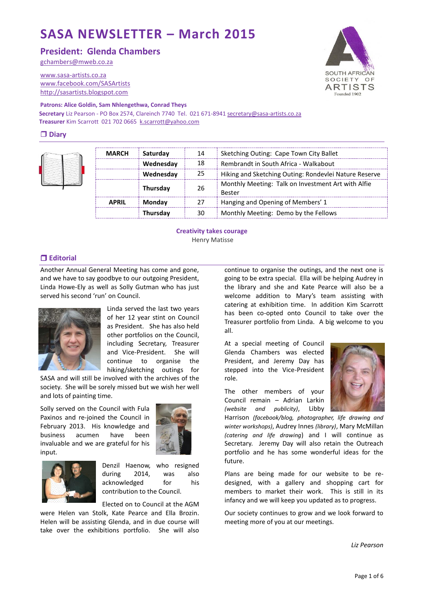# **SASA NEWSLETTER – March 2015**

**President: Glenda Chambers**

[gchambers@mweb.co.za](mailto:lindahe@vitalitybroadband.co.za)

[www.sasa-artists.co.za](http://www.sasa-artists.co.za/) [www.facebook.com/SASArtists](http://www.facebook.com/SASArtists) [http://sasartists.blogspot.com](http://sasartists.blogspot.com/)



**Secretary** Liz Pearson - PO Box 2574, Clareinch 7740 Tel. 021 671-894[1 secretary@sasa-artists.co.za](mailto:secretary@sasa-artists.co.za) **Treasurer** Kim Scarrott 021 702 0665 [k.scarrott@yahoo.com](mailto:k.scarrott@yahoo.com)

## **Diary**



| <b>MARCH</b> | Saturday        | 14 | Sketching Outing: Cape Town City Ballet                             |
|--------------|-----------------|----|---------------------------------------------------------------------|
|              | Wednesday       | 18 | Rembrandt in South Africa - Walkabout                               |
|              | Wednesday       | 25 | Hiking and Sketching Outing: Rondevlei Nature Reserve               |
|              | <b>Thursday</b> | 26 | Monthly Meeting: Talk on Investment Art with Alfie<br><b>Bester</b> |
| <b>APRIL</b> | <b>Mondav</b>   | 27 | Hanging and Opening of Members' 1                                   |
|              | Thursday        | 30 | Monthly Meeting: Demo by the Fellows                                |

**Creativity takes courage** Henry Matisse

# **Editorial**

Another Annual General Meeting has come and gone, and we have to say goodbye to our outgoing President, Linda Howe-Ely as well as Solly Gutman who has just served his second 'run' on Council.



Linda served the last two years of her 12 year stint on Council as President. She has also held other portfolios on the Council, including Secretary, Treasurer and Vice-President. She will continue to organise the hiking/sketching outings for

SASA and will still be involved with the archives of the society. She will be sorely missed but we wish her well and lots of painting time.

Solly served on the Council with Fula Paxinos and re-joined the Council in February 2013. His knowledge and business acumen have been invaluable and we are grateful for his input.





Denzil Haenow, who resigned during 2014, was also acknowledged for his contribution to the Council.

Elected on to Council at the AGM

were Helen van Stolk, Kate Pearce and Ella Brozin. Helen will be assisting Glenda, and in due course will take over the exhibitions portfolio. She will also

continue to organise the outings, and the next one is going to be extra special. Ella will be helping Audrey in the library and she and Kate Pearce will also be a welcome addition to Mary's team assisting with catering at exhibition time. In addition Kim Scarrott has been co-opted onto Council to take over the Treasurer portfolio from Linda. A big welcome to you all.

At a special meeting of Council Glenda Chambers was elected President, and Jeremy Day has stepped into the Vice-President role.

The other members of your Council remain – Adrian Larkin *(website and publicity)*, Libby



Harrison *(facebook/blog, photographer, life drawing and winter workshops)*, Audrey Innes *(library)*, Mary McMillan *(catering and life drawing*) and I will continue as Secretary. Jeremy Day will also retain the Outreach portfolio and he has some wonderful ideas for the future.

Plans are being made for our website to be redesigned, with a gallery and shopping cart for members to market their work. This is still in its infancy and we will keep you updated as to progress.

Our society continues to grow and we look forward to meeting more of you at our meetings.

*Liz Pearson*

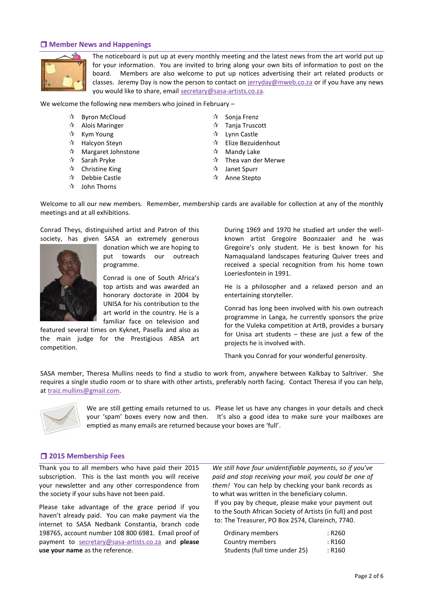## **Member News and Happenings**



The noticeboard is put up at every monthly meeting and the latest news from the art world put up for your information. You are invited to bring along your own bits of information to post on the board. Members are also welcome to put up notices advertising their art related products or classes. Jeremy Day is now the person to contact on [jerryday@mweb.co.za](mailto:jerryday@mweb.co.za) or if you have any news you would like to share, email [secretary@sasa-artists.co.za.](mailto:secretary@sasa-artists.co.za)

We welcome the following new members who joined in February –

- ☆ Byron McCloud
- $\mathbf{\hat{x}}$  Alois Maringer
- $\mathbf{\hat{x}}$  Kym Young
- $\mathbf{\hat{x}}$  Halcyon Steyn
- Margaret Johnstone
- $\mathbf{\hat{x}}$  Sarah Pryke
- $\mathbf{\hat{x}}$  Christine King
- $\mathbf{\hat{x}}$  Debbie Castle
- $\sqrt{2}$  John Thorns
- 
- $\mathbf{\hat{x}}$  Sonja Frenz
- $\mathbf{\hat{x}}$  Tanja Truscott
- $\mathbf{\hat{x}}$  Lynn Castle
- $\mathbf{\hat{x}}$  Elize Bezuidenhout
- $\mathbf{\hat{x}}$  Mandy Lake
- $\mathbf{\hat{x}}$  Thea van der Merwe
- $\mathbf{\hat{x}}$  Janet Spurr
- ☆ Anne Stepto

Welcome to all our new members. Remember, membership cards are available for collection at any of the monthly meetings and at all exhibitions.

Conrad Theys, distinguished artist and Patron of this society, has given SASA an extremely generous



donation which we are hoping to put towards our outreach programme.

Conrad is one of South Africa's top artists and was awarded an honorary doctorate in 2004 by UNISA for his contribution to the art world in the country. He is a familiar face on television and

featured several times on Kyknet, Pasella and also as the main judge for the Prestigious ABSA art competition.

During 1969 and 1970 he studied art under the wellknown artist Gregoire Boonzaaier and he was Gregoire's only student. He is best known for his Namaqualand landscapes featuring Quiver trees and received a special recognition from his home town Loeriesfontein in 1991.

He is a philosopher and a relaxed person and an entertaining storyteller.

Conrad has long been involved with his own outreach programme in Langa, he currently sponsors the prize for the Vuleka competition at ArtB, provides a bursary for Unisa art students – these are just a few of the projects he is involved with.

Thank you Conrad for your wonderful generosity.

SASA member, Theresa Mullins needs to find a studio to work from, anywhere between Kalkbay to Saltriver. She requires a single studio room or to share with other artists, preferably north facing. Contact Theresa if you can help, at [traiz.mullins@gmail.com.](mailto:traiz.mullins@gmail.com)



We are still getting emails returned to us. Please let us have any changes in your details and check your 'spam' boxes every now and then. It's also a good idea to make sure your mailboxes are emptied as many emails are returned because your boxes are 'full'.

# **2015 Membership Fees**

Thank you to all members who have paid their 2015 subscription. This is the last month you will receive your newsletter and any other correspondence from the society if your subs have not been paid.

Please take advantage of the grace period if you haven't already paid. You can make payment via the internet to SASA Nedbank Constantia, branch code 198765, account number 108 800 6981. Email proof of payment to [secretary@sasa-artists.co.za](mailto:secretary@sasa-artists.co.za) and **please use your name** as the reference.

*We still have four unidentifiable payments, so if you've paid and stop receiving your mail, you could be one of them!* You can help by checking your bank records as to what was written in the beneficiary column. If you pay by cheque, please make your payment out to the South African Society of Artists (in full) and post to: The Treasurer, PO Box 2574, Clareinch, 7740.

| Ordinary members              | : R260 |
|-------------------------------|--------|
| Country members               | : R160 |
| Students (full time under 25) | : R160 |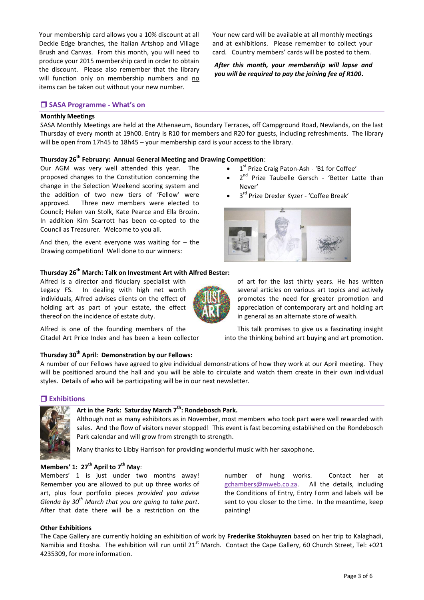Your membership card allows you a 10% discount at all Deckle Edge branches, the Italian Artshop and Village Brush and Canvas. From this month, you will need to produce your 2015 membership card in order to obtain the discount. Please also remember that the library will function only on membership numbers and no items can be taken out without your new number.

**SASA Programme - What's on** 

#### **Monthly Meetings**

SASA Monthly Meetings are held at the Athenaeum, Boundary Terraces, off Campground Road, Newlands, on the last Thursday of every month at 19h00. Entry is R10 for members and R20 for guests, including refreshments. The library will be open from 17h45 to 18h45 – your membership card is your access to the library.

# **Thursday 26th February: Annual General Meeting and Drawing Competition**:

Our AGM was very well attended this year. The proposed changes to the Constitution concerning the change in the Selection Weekend scoring system and the addition of two new tiers of 'Fellow' were approved. Three new members were elected to Council; Helen van Stolk, Kate Pearce and Ella Brozin. In addition Kim Scarrott has been co-opted to the Council as Treasurer. Welcome to you all.

And then, the event everyone was waiting for  $-$  the Drawing competition! Well done to our winners:

## **Thursday 26th March: Talk on Investment Art with Alfred Bester:**

Alfred is a director and fiduciary specialist with Legacy FS. In dealing with high net worth individuals, Alfred advises clients on the effect of holding art as part of your estate, the effect thereof on the incidence of estate duty.

Alfred is one of the founding members of the Citadel Art Price Index and has been a keen collector Your new card will be available at all monthly meetings and at exhibitions. Please remember to collect your card. Country members' cards will be posted to them.

*After this month, your membership will lapse and you will be required to pay the joining fee of R100***.**

- 1<sup>st</sup> Prize Craig Paton-Ash 'B1 for Coffee'
- 2<sup>nd</sup> Prize Taubelle Gersch 'Better Latte than Never'
- 3<sup>rd</sup> Prize Drexler Kyzer 'Coffee Break'



of art for the last thirty years. He has written several articles on various art topics and actively promotes the need for greater promotion and appreciation of contemporary art and holding art in general as an alternate store of wealth.

This talk promises to give us a fascinating insight into the thinking behind art buying and art promotion.

### **Thursday 30th April: Demonstration by our Fellows:**

A number of our Fellows have agreed to give individual demonstrations of how they work at our April meeting. They will be positioned around the hall and you will be able to circulate and watch them create in their own individual styles. Details of who will be participating will be in our next newsletter.

## **Exhibitions**



# **Art in the Park: Saturday March 7th: Rondebosch Park.**

Although not as many exhibitors as in November, most members who took part were well rewarded with sales. And the flow of visitors never stopped! This event is fast becoming established on the Rondebosch Park calendar and will grow from strength to strength.

Many thanks to Libby Harrison for providing wonderful music with her saxophone.

### **Members' 1: 27th April to 7th May**:

Members' 1 is just under two months away! Remember you are allowed to put up three works of art, plus four portfolio pieces *provided you advise Glenda by 30th March that you are going to take part*. After that date there will be a restriction on the

number of hung works. Contact her at [gchambers@mweb.co.za.](mailto:gchambers@mweb.co.za) All the details, including the Conditions of Entry, Entry Form and labels will be sent to you closer to the time. In the meantime, keep painting!

#### **Other Exhibitions**

The Cape Gallery are currently holding an exhibition of work by **Frederike Stokhuyzen** based on her trip to Kalaghadi, Namibia and Etosha. The exhibition will run until  $21<sup>st</sup>$  March. Contact the Cape Gallery, 60 Church Street, Tel: +021 4235309, for more information.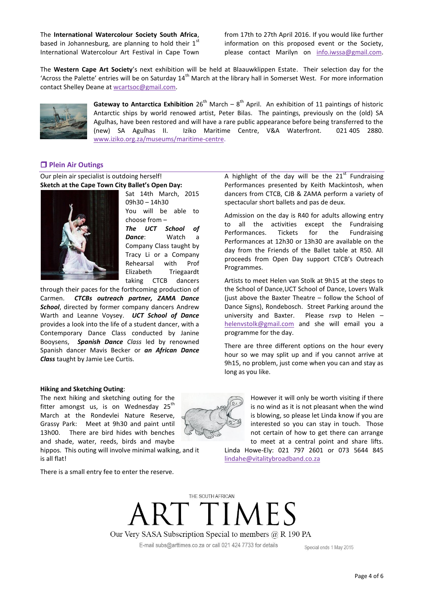The **International Watercolour Society South Africa**, based in Johannesburg, are planning to hold their  $1<sup>st</sup>$ International Watercolour Art Festival in Cape Town from 17th to 27th April 2016. If you would like further information on this proposed event or the Society, please contact Marilyn on [info.iwssa@gmail.com.](mailto:info.iwssa@gmail.com)

The **Western Cape Art Society**'s next exhibition will be held at Blaauwklippen Estate. Their selection day for the 'Across the Palette' entries will be on Saturday  $14<sup>th</sup>$  March at the library hall in Somerset West. For more information contact Shelley Deane at [wcartsoc@gmail.com.](mailto:wcartsoc@gmail.com)



Gateway to Antarctica Exhibition 26<sup>th</sup> March – 8<sup>th</sup> April. An exhibition of 11 paintings of historic Antarctic ships by world renowed artist, Peter Bilas. The paintings, previously on the (old) SA Agulhas, have been restored and will have a rare public appearance before being transferred to the (new) SA Agulhas II. Iziko Maritime Centre, V&A Waterfront. 021 405 2880. [www.iziko.org.za/museums/maritime-centre.](http://www.iziko.org.za/museums/maritime-centre)

# **Plein Air Outings**

Our plein air specialist is outdoing herself! **Sketch at the Cape Town City Ballet's Open Day:**



Sat 14th March, 2015 09h30 – 14h30 You will be able to choose from – Company Class taught by Tracy Li or a Company Rehearsal with Prof Elizabeth Triegaardt taking CTCB dancers

through their paces for the forthcoming production of Carmen. *CTCBs outreach partner, ZAMA Dance School*, directed by former company dancers Andrew Warth and Leanne Voysey. *UCT School of Dance* provides a look into the life of a student dancer, with a Contemporary Dance Class conducted by Janine Booysens, *Spanish Dance Class* led by renowned Spanish dancer Mavis Becker or *an African Dance Class* taught by Jamie Lee Curtis.

*The UCT School of Dance*: Watch a

A highlight of the day will be the  $21<sup>st</sup>$  Fundraising Performances presented by Keith Mackintosh, when dancers from CTCB, CJB & ZAMA perform a variety of spectacular short ballets and pas de deux.

Admission on the day is R40 for adults allowing entry to all the activities except the Fundraising Performances. Tickets for the Fundraising Performances at 12h30 or 13h30 are available on the day from the Friends of the Ballet table at R50. All proceeds from Open Day support CTCB's Outreach Programmes.

Artists to meet Helen van Stolk at 9h15 at the steps to the School of Dance,UCT School of Dance, Lovers Walk (just above the Baxter Theatre – follow the School of Dance Signs), Rondebosch. Street Parking around the university and Baxter. Please rsvp to Helen – [helenvstolk@gmail.com](mailto:helenvstolk@gmail.com) and she will email you a programme for the day.

There are three different options on the hour every hour so we may split up and if you cannot arrive at 9h15, no problem, just come when you can and stay as long as you like.

#### **Hiking and Sketching Outing**:

The next hiking and sketching outing for the fitter amongst us, is on Wednesday  $25<sup>th</sup>$ March at the Rondevlei Nature Reserve, Grassy Park: Meet at 9h30 and paint until 13h00. There are bird hides with benches and shade, water, reeds, birds and maybe hippos. This outing will involve minimal walking, and it is all flat!

There is a small entry fee to enter the reserve.



However it will only be worth visiting if there is no wind as it is not pleasant when the wind is blowing, so please let Linda know if you are interested so you can stay in touch. Those not certain of how to get there can arrange to meet at a central point and share lifts.

Linda Howe-Ely: 021 797 2601 or 073 5644 845 [lindahe@vitalitybroadband.co.za](mailto:lindahe@vitalitybroadband.co.za)

THE SOUTH AFRICAN **TIMES** Our Very SASA Subscription Special to members @ R 190 PA E-mail subs@arttimes.co.za or call 021 424 7733 for details

Special ends 1 May 2015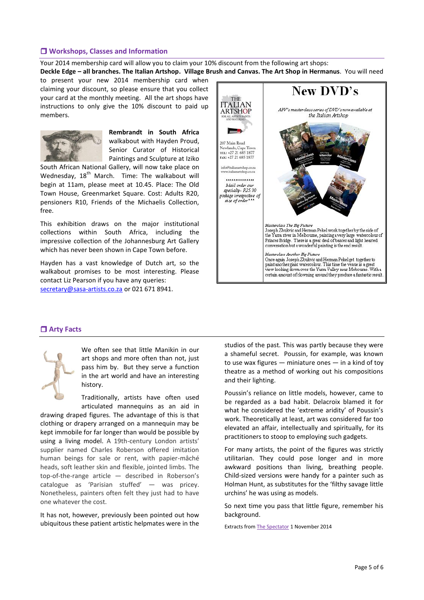# **Workshops, Classes and Information**

Your 2014 membership card will allow you to claim your 10% discount from the following art shops: **Deckle Edge – all branches. The Italian Artshop. Village Brush and Canvas. The Art Shop in Hermanus**. You will need

to present your new 2014 membership card when claiming your discount, so please ensure that you collect your card at the monthly meeting. All the art shops have instructions to only give the 10% discount to paid up members.



**Rembrandt in South Africa** walkabout with Hayden Proud, Senior Curator of Historical Paintings and Sculpture at Iziko

South African National Gallery, will now take place on Wednesday, 18<sup>th</sup> March. Time: The walkabout will begin at 11am, please meet at 10.45. Place: The Old Town House, Greenmarket Square. Cost: Adults R20, pensioners R10, Friends of the Michaelis Collection, free.

This exhibition draws on the major institutional collections within South Africa, including the impressive collection of the Johannesburg Art Gallery which has never been shown in Cape Town before.

Hayden has a vast knowledge of Dutch art, so the walkabout promises to be most interesting. Please contact Liz Pearson if you have any queries: [secretary@sasa-artists.co.za](mailto:secretary@sasa-artists.co.za) or 021 671 8941.



#### **Arty Facts**



We often see that little Manikin in our art shops and more often than not, just pass him by. But they serve a function in the art world and have an interesting history.

Traditionally, artists have often used articulated mannequins as an aid in

drawing draped figures. The advantage of this is that clothing or drapery arranged on a mannequin may be kept immobile for far longer than would be possible by using a living model. A 19th-century London artists' supplier named Charles Roberson offered imitation human beings for sale or rent, with papier-mâché heads, soft leather skin and flexible, jointed limbs. The top-of-the-range article — described in Roberson's catalogue as 'Parisian stuffed' — was pricey. Nonetheless, painters often felt they just had to have one whatever the cost.

It has not, however, previously been pointed out how ubiquitous these patient artistic helpmates were in the studios of the past. This was partly because they were a shameful secret. Poussin, for example, was known to use wax figures  $-$  miniature ones  $-$  in a kind of toy theatre as a method of working out his compositions and their lighting.

Poussin's reliance on little models, however, came to be regarded as a bad habit. Delacroix blamed it for what he considered the 'extreme aridity' of Poussin's work. Theoretically at least, art was considered far too elevated an affair, intellectually and spiritually, for its practitioners to stoop to employing such gadgets.

For many artists, the point of the figures was strictly utilitarian. They could pose longer and in more awkward positions than living, breathing people. Child-sized versions were handy for a painter such as Holman Hunt, as substitutes for the 'filthy savage little urchins' he was using as models.

So next time you pass that little figure, remember his background.

Extracts fro[m The Spectator](mailto:http://www.spectator.co.uk/arts/exhibitions/9354532/arts-shameful-secret/) 1 November 2014